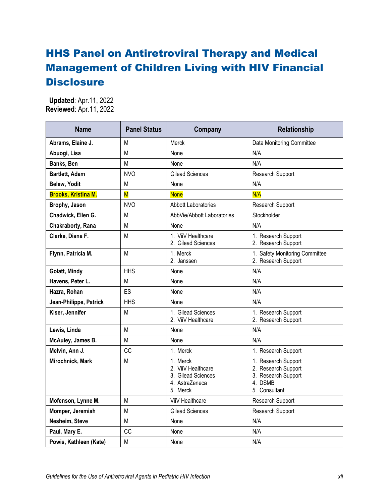## HHS Panel on Antiretroviral Therapy and Medical Management of Children Living with HIV Financial **Disclosure**

 **Updated**: Apr.11, 2022 **Reviewed**: Apr.11, 2022

| <b>Name</b>                | <b>Panel Status</b>     | Company                                                                            | Relationship                                                                                  |
|----------------------------|-------------------------|------------------------------------------------------------------------------------|-----------------------------------------------------------------------------------------------|
| Abrams, Elaine J.          | М                       | <b>Merck</b>                                                                       | <b>Data Monitoring Committee</b>                                                              |
| Abuogi, Lisa               | М                       | None                                                                               | N/A                                                                                           |
| Banks, Ben                 | М                       | None                                                                               | N/A                                                                                           |
| Bartlett, Adam             | <b>NVO</b>              | <b>Gilead Sciences</b>                                                             | Research Support                                                                              |
| Belew, Yodit               | М                       | None                                                                               | N/A                                                                                           |
| <b>Brooks, Kristina M.</b> | $\overline{\mathsf{M}}$ | <b>None</b>                                                                        | N/A                                                                                           |
| Brophy, Jason              | <b>NVO</b>              | <b>Abbott Laboratories</b>                                                         | Research Support                                                                              |
| Chadwick, Ellen G.         | М                       | AbbVie/Abbott Laboratories                                                         | Stockholder                                                                                   |
| Chakraborty, Rana          | М                       | None                                                                               | N/A                                                                                           |
| Clarke, Diana F.           | М                       | 1. ViiV Healthcare<br>2. Gilead Sciences                                           | 1. Research Support<br>2. Research Support                                                    |
| Flynn, Patricia M.         | М                       | 1. Merck<br>2. Janssen                                                             | 1. Safety Monitoring Committee<br>2. Research Support                                         |
| Golatt, Mindy              | <b>HHS</b>              | None                                                                               | N/A                                                                                           |
| Havens, Peter L.           | Μ                       | None                                                                               | N/A                                                                                           |
| Hazra, Rohan               | ES                      | None                                                                               | N/A                                                                                           |
| Jean-Philippe, Patrick     | <b>HHS</b>              | None                                                                               | N/A                                                                                           |
| Kiser, Jennifer            | М                       | 1. Gilead Sciences<br>2. ViiV Healthcare                                           | 1. Research Support<br>2. Research Support                                                    |
| Lewis, Linda               | М                       | None                                                                               | N/A                                                                                           |
| McAuley, James B.          | М                       | None                                                                               | N/A                                                                                           |
| Melvin, Ann J.             | CC                      | 1. Merck                                                                           | 1. Research Support                                                                           |
| Mirochnick, Mark           | М                       | 1. Merck<br>2. ViiV Healthcare<br>3. Gilead Sciences<br>4. AstraZeneca<br>5. Merck | 1. Research Support<br>2. Research Support<br>3. Research Support<br>4. DSMB<br>5. Consultant |
| Mofenson, Lynne M.         | М                       | ViiV Healthcare                                                                    | Research Support                                                                              |
| Momper, Jeremiah           | М                       | <b>Gilead Sciences</b>                                                             | Research Support                                                                              |
| Nesheim, Steve             | М                       | None                                                                               | N/A                                                                                           |
| Paul, Mary E.              | CC                      | None                                                                               | N/A                                                                                           |
| Powis, Kathleen (Kate)     | М                       | None                                                                               | N/A                                                                                           |